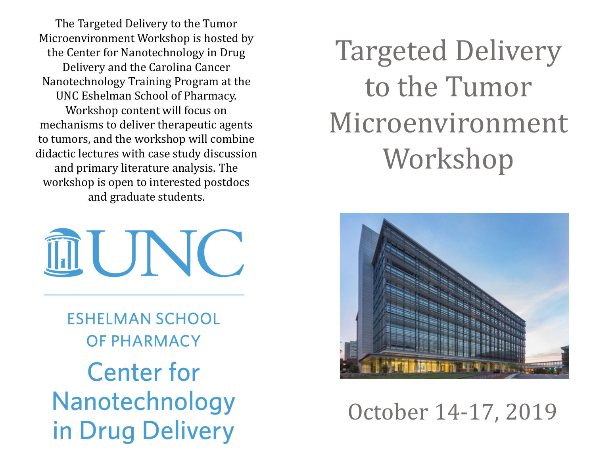The Targeted Delivery to the Tumor Microenvironment Workshop is hosted by the Center for Nanotechnology in Drug Delivery and the Carolina Cancer Nanotechnology Training Program at the UNC Eshelman School of Pharmacy. Workshop content will focus on mechanisms to deliver therapeutic agents to tumors, and the workshop will combine didactic lectures with case study discussion and primary literature analysis. The workshop is open to interested postdocs and graduate students.

II UNC

**ESHELMAN SCHOOL OF PHARMACY Center for** Nanotechnology in Drug Delivery

# Targeted Delivery to the Tumor Microenvironment Workshop



## October 14-17, 2019